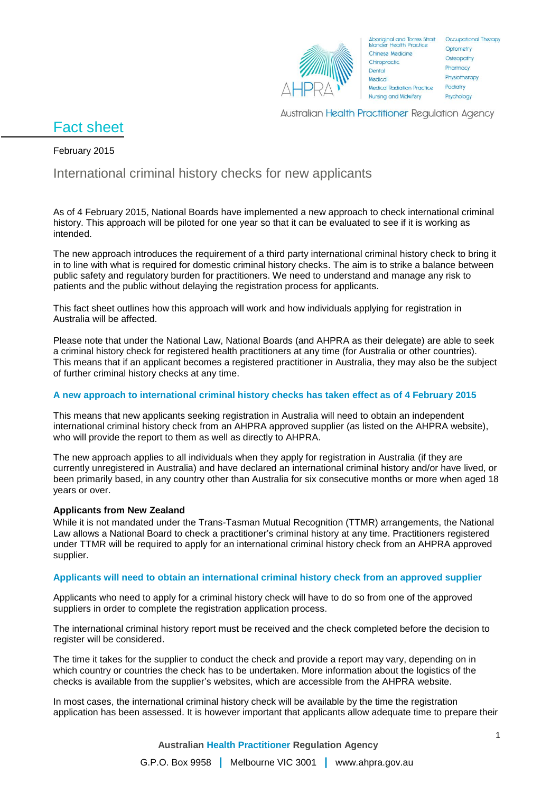

Aboriginal and Torres Strait Occupational Therapy<br>Islander Health Practice Chinese Medicine Chiropractic. Dental Medical **Medical Radiation Practice Nursing and Midwifery** 

Optometry Osteopathy Pharmacy Physiotherapy Podiatry Psychology

Australian Health Practitioner Regulation Agency

# Fact sheet

### February 2015

# International criminal history checks for new applicants

As of 4 February 2015, National Boards have implemented a new approach to check international criminal history. This approach will be piloted for one year so that it can be evaluated to see if it is working as intended.

The new approach introduces the requirement of a third party international criminal history check to bring it in to line with what is required for domestic criminal history checks. The aim is to strike a balance between public safety and regulatory burden for practitioners. We need to understand and manage any risk to patients and the public without delaying the registration process for applicants.

This fact sheet outlines how this approach will work and how individuals applying for registration in Australia will be affected.

Please note that under the National Law, National Boards (and AHPRA as their delegate) are able to seek a criminal history check for registered health practitioners at any time (for Australia or other countries). This means that if an applicant becomes a registered practitioner in Australia, they may also be the subject of further criminal history checks at any time.

## **A new approach to international criminal history checks has taken effect as of 4 February 2015**

This means that new applicants seeking registration in Australia will need to obtain an independent international criminal history check from an AHPRA approved supplier (as listed on the AHPRA website), who will provide the report to them as well as directly to AHPRA.

The new approach applies to all individuals when they apply for registration in Australia (if they are currently unregistered in Australia) and have declared an international criminal history and/or have lived, or been primarily based, in any country other than Australia for six consecutive months or more when aged 18 years or over.

#### **Applicants from New Zealand**

While it is not mandated under the Trans-Tasman Mutual Recognition (TTMR) arrangements, the National Law allows a National Board to check a practitioner's criminal history at any time. Practitioners registered under TTMR will be required to apply for an international criminal history check from an AHPRA approved supplier.

#### **Applicants will need to obtain an international criminal history check from an approved supplier**

Applicants who need to apply for a criminal history check will have to do so from one of the approved suppliers in order to complete the registration application process.

The international criminal history report must be received and the check completed before the decision to register will be considered.

The time it takes for the supplier to conduct the check and provide a report may vary, depending on in which country or countries the check has to be undertaken. More information about the logistics of the checks is available from the supplier's websites, which are accessible from the AHPRA website.

In most cases, the international criminal history check will be available by the time the registration application has been assessed. It is however important that applicants allow adequate time to prepare their